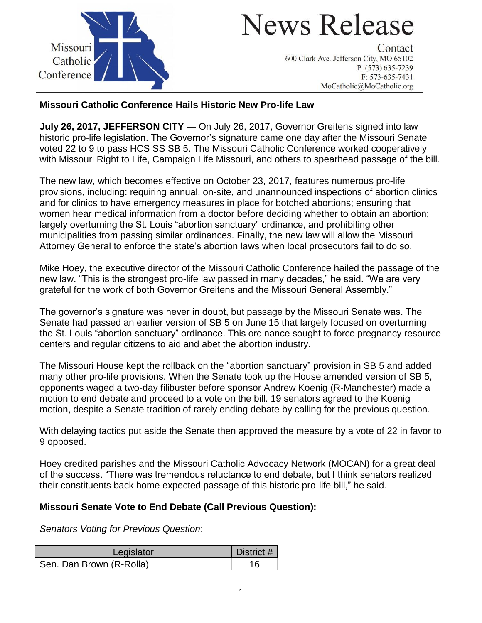

# **News Release**

Contact 600 Clark Ave. Jefferson City, MO 65102  $P: (573) 635 - 7239$  $F: 573-635-7431$ MoCatholic@MoCatholic.org

## **Missouri Catholic Conference Hails Historic New Pro-life Law**

**July 26, 2017, JEFFERSON CITY** — On July 26, 2017, Governor Greitens signed into law historic pro-life legislation. The Governor's signature came one day after the Missouri Senate voted 22 to 9 to pass HCS SS SB 5. The Missouri Catholic Conference worked cooperatively with Missouri Right to Life, Campaign Life Missouri, and others to spearhead passage of the bill.

The new law, which becomes effective on October 23, 2017, features numerous pro-life provisions, including: requiring annual, on-site, and unannounced inspections of abortion clinics and for clinics to have emergency measures in place for botched abortions; ensuring that women hear medical information from a doctor before deciding whether to obtain an abortion; largely overturning the St. Louis "abortion sanctuary" ordinance, and prohibiting other municipalities from passing similar ordinances. Finally, the new law will allow the Missouri Attorney General to enforce the state's abortion laws when local prosecutors fail to do so.

Mike Hoey, the executive director of the Missouri Catholic Conference hailed the passage of the new law. "This is the strongest pro-life law passed in many decades," he said. "We are very grateful for the work of both Governor Greitens and the Missouri General Assembly."

The governor's signature was never in doubt, but passage by the Missouri Senate was. The Senate had passed an earlier version of SB 5 on June 15 that largely focused on overturning the St. Louis "abortion sanctuary" ordinance. This ordinance sought to force pregnancy resource centers and regular citizens to aid and abet the abortion industry.

The Missouri House kept the rollback on the "abortion sanctuary" provision in SB 5 and added many other pro-life provisions. When the Senate took up the House amended version of SB 5, opponents waged a two-day filibuster before sponsor Andrew Koenig (R-Manchester) made a motion to end debate and proceed to a vote on the bill. 19 senators agreed to the Koenig motion, despite a Senate tradition of rarely ending debate by calling for the previous question.

With delaying tactics put aside the Senate then approved the measure by a vote of 22 in favor to 9 opposed.

Hoey credited parishes and the Missouri Catholic Advocacy Network (MOCAN) for a great deal of the success. "There was tremendous reluctance to end debate, but I think senators realized their constituents back home expected passage of this historic pro-life bill," he said.

#### **Missouri Senate Vote to End Debate (Call Previous Question):**

*Senators Voting for Previous Question*:

| Legislator               | District # |
|--------------------------|------------|
| Sen. Dan Brown (R-Rolla) | 16         |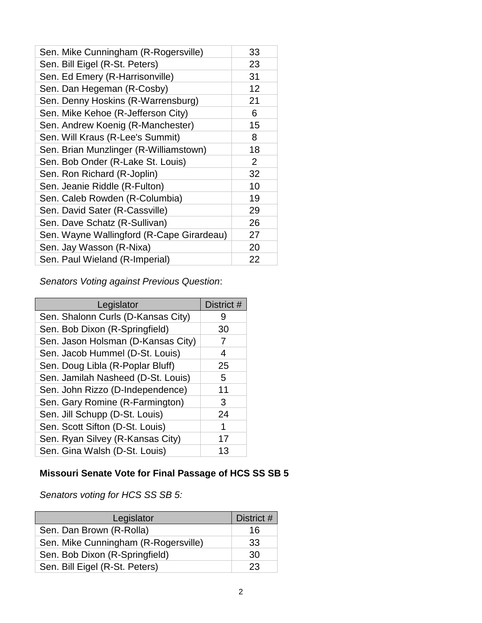| Sen. Mike Cunningham (R-Rogersville)      | 33 |
|-------------------------------------------|----|
| Sen. Bill Eigel (R-St. Peters)            | 23 |
| Sen. Ed Emery (R-Harrisonville)           | 31 |
| Sen. Dan Hegeman (R-Cosby)                | 12 |
| Sen. Denny Hoskins (R-Warrensburg)        | 21 |
| Sen. Mike Kehoe (R-Jefferson City)        | 6  |
| Sen. Andrew Koenig (R-Manchester)         | 15 |
| Sen. Will Kraus (R-Lee's Summit)          | 8  |
| Sen. Brian Munzlinger (R-Williamstown)    | 18 |
| Sen. Bob Onder (R-Lake St. Louis)         | 2  |
| Sen. Ron Richard (R-Joplin)               | 32 |
| Sen. Jeanie Riddle (R-Fulton)             | 10 |
| Sen. Caleb Rowden (R-Columbia)            | 19 |
| Sen. David Sater (R-Cassville)            | 29 |
| Sen. Dave Schatz (R-Sullivan)             | 26 |
| Sen. Wayne Wallingford (R-Cape Girardeau) | 27 |
| Sen. Jay Wasson (R-Nixa)                  | 20 |
| Sen. Paul Wieland (R-Imperial)            | 22 |

*Senators Voting against Previous Question*:

| Legislator                         | District # |
|------------------------------------|------------|
| Sen. Shalonn Curls (D-Kansas City) | 9          |
| Sen. Bob Dixon (R-Springfield)     | 30         |
| Sen. Jason Holsman (D-Kansas City) | 7          |
| Sen. Jacob Hummel (D-St. Louis)    | 4          |
| Sen. Doug Libla (R-Poplar Bluff)   | 25         |
| Sen. Jamilah Nasheed (D-St. Louis) | 5          |
| Sen. John Rizzo (D-Independence)   | 11         |
| Sen. Gary Romine (R-Farmington)    | 3          |
| Sen. Jill Schupp (D-St. Louis)     | 24         |
| Sen. Scott Sifton (D-St. Louis)    | 1          |
| Sen. Ryan Silvey (R-Kansas City)   | 17         |
| Sen. Gina Walsh (D-St. Louis)      | 13         |

## **Missouri Senate Vote for Final Passage of HCS SS SB 5**

*Senators voting for HCS SS SB 5:*

| Legislator                           | District # |
|--------------------------------------|------------|
| Sen. Dan Brown (R-Rolla)             | 16         |
| Sen. Mike Cunningham (R-Rogersville) | 33         |
| Sen. Bob Dixon (R-Springfield)       | 30         |
| Sen. Bill Eigel (R-St. Peters)       | 23         |